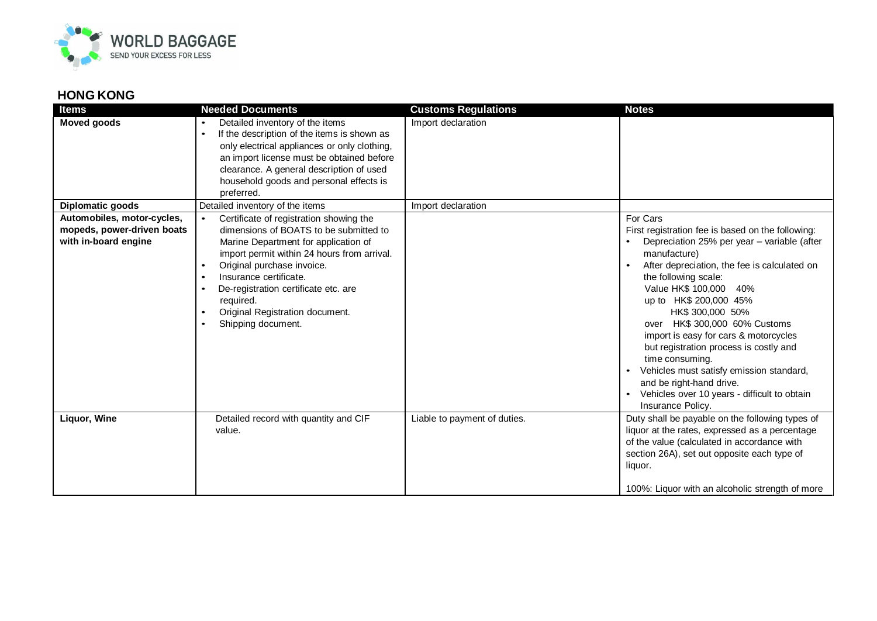

## **HONG KONG**

| <b>Items</b>                                                                     | <b>Needed Documents</b>                                                                                                                                                                                                                                                                                                                                                                            | <b>Customs Regulations</b>   | <b>Notes</b>                                                                                                                                                                                                                                                                                                                                                                                                                                                                                                                                                        |
|----------------------------------------------------------------------------------|----------------------------------------------------------------------------------------------------------------------------------------------------------------------------------------------------------------------------------------------------------------------------------------------------------------------------------------------------------------------------------------------------|------------------------------|---------------------------------------------------------------------------------------------------------------------------------------------------------------------------------------------------------------------------------------------------------------------------------------------------------------------------------------------------------------------------------------------------------------------------------------------------------------------------------------------------------------------------------------------------------------------|
| <b>Moved goods</b>                                                               | Detailed inventory of the items<br>If the description of the items is shown as<br>$\bullet$<br>only electrical appliances or only clothing,<br>an import license must be obtained before<br>clearance. A general description of used<br>household goods and personal effects is<br>preferred.                                                                                                      | Import declaration           |                                                                                                                                                                                                                                                                                                                                                                                                                                                                                                                                                                     |
| Diplomatic goods                                                                 | Detailed inventory of the items                                                                                                                                                                                                                                                                                                                                                                    | Import declaration           |                                                                                                                                                                                                                                                                                                                                                                                                                                                                                                                                                                     |
| Automobiles, motor-cycles,<br>mopeds, power-driven boats<br>with in-board engine | Certificate of registration showing the<br>$\bullet$<br>dimensions of BOATS to be submitted to<br>Marine Department for application of<br>import permit within 24 hours from arrival.<br>Original purchase invoice.<br>$\bullet$<br>Insurance certificate.<br>$\bullet$<br>De-registration certificate etc. are<br>$\bullet$<br>required.<br>Original Registration document.<br>Shipping document. |                              | For Cars<br>First registration fee is based on the following:<br>Depreciation 25% per year – variable (after<br>manufacture)<br>After depreciation, the fee is calculated on<br>the following scale:<br>Value HK\$ 100,000<br>40%<br>up to HK\$ 200,000 45%<br>HK\$ 300,000 50%<br>over HK\$ 300,000 60% Customs<br>import is easy for cars & motorcycles<br>but registration process is costly and<br>time consuming.<br>Vehicles must satisfy emission standard,<br>and be right-hand drive.<br>Vehicles over 10 years - difficult to obtain<br>Insurance Policy. |
| Liquor, Wine                                                                     | Detailed record with quantity and CIF<br>value.                                                                                                                                                                                                                                                                                                                                                    | Liable to payment of duties. | Duty shall be payable on the following types of<br>liquor at the rates, expressed as a percentage<br>of the value (calculated in accordance with<br>section 26A), set out opposite each type of<br>liquor.<br>100%: Liquor with an alcoholic strength of more                                                                                                                                                                                                                                                                                                       |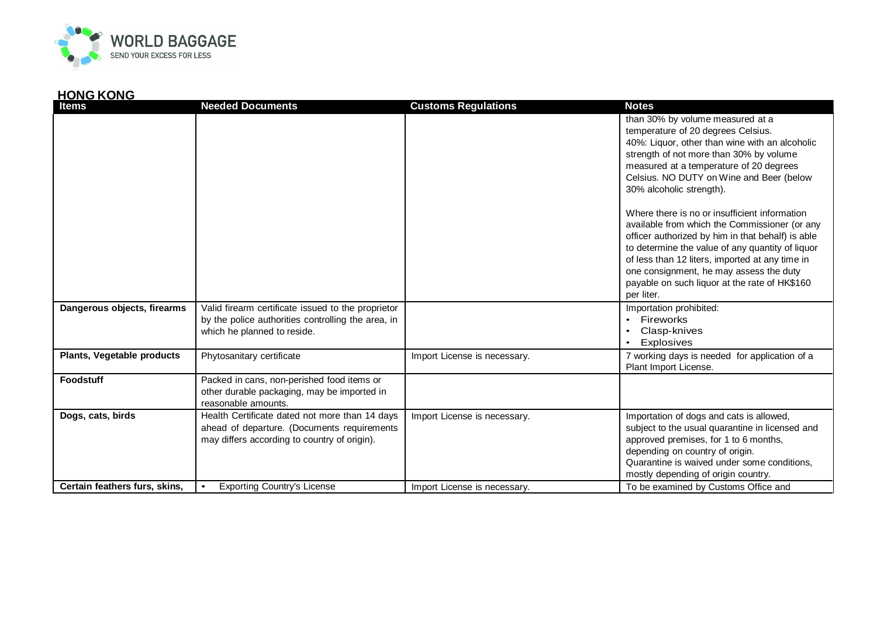

## **HONG KONG**

| Items                         | <b>Needed Documents</b>                            | <b>Customs Regulations</b>   | <b>Notes</b>                                                                             |
|-------------------------------|----------------------------------------------------|------------------------------|------------------------------------------------------------------------------------------|
|                               |                                                    |                              | than 30% by volume measured at a                                                         |
|                               |                                                    |                              | temperature of 20 degrees Celsius.                                                       |
|                               |                                                    |                              | 40%: Liquor, other than wine with an alcoholic                                           |
|                               |                                                    |                              | strength of not more than 30% by volume                                                  |
|                               |                                                    |                              | measured at a temperature of 20 degrees                                                  |
|                               |                                                    |                              | Celsius. NO DUTY on Wine and Beer (below                                                 |
|                               |                                                    |                              | 30% alcoholic strength).                                                                 |
|                               |                                                    |                              | Where there is no or insufficient information                                            |
|                               |                                                    |                              | available from which the Commissioner (or any                                            |
|                               |                                                    |                              | officer authorized by him in that behalf) is able                                        |
|                               |                                                    |                              | to determine the value of any quantity of liquor                                         |
|                               |                                                    |                              | of less than 12 liters, imported at any time in                                          |
|                               |                                                    |                              | one consignment, he may assess the duty<br>payable on such liquor at the rate of HK\$160 |
|                               |                                                    |                              | per liter.                                                                               |
| Dangerous objects, firearms   | Valid firearm certificate issued to the proprietor |                              | Importation prohibited:                                                                  |
|                               | by the police authorities controlling the area, in |                              | Fireworks                                                                                |
|                               | which he planned to reside.                        |                              | Clasp-knives                                                                             |
|                               |                                                    |                              | Explosives                                                                               |
| Plants, Vegetable products    | Phytosanitary certificate                          | Import License is necessary. | 7 working days is needed for application of a                                            |
|                               |                                                    |                              | Plant Import License.                                                                    |
| <b>Foodstuff</b>              | Packed in cans, non-perished food items or         |                              |                                                                                          |
|                               | other durable packaging, may be imported in        |                              |                                                                                          |
|                               | reasonable amounts.                                |                              |                                                                                          |
| Dogs, cats, birds             | Health Certificate dated not more than 14 days     | Import License is necessary. | Importation of dogs and cats is allowed,                                                 |
|                               | ahead of departure. (Documents requirements        |                              | subject to the usual quarantine in licensed and                                          |
|                               | may differs according to country of origin).       |                              | approved premises, for 1 to 6 months,                                                    |
|                               |                                                    |                              | depending on country of origin.                                                          |
|                               |                                                    |                              | Quarantine is waived under some conditions,                                              |
|                               |                                                    |                              | mostly depending of origin country.                                                      |
| Certain feathers furs, skins, | <b>Exporting Country's License</b><br>$\bullet$    | Import License is necessary. | To be examined by Customs Office and                                                     |